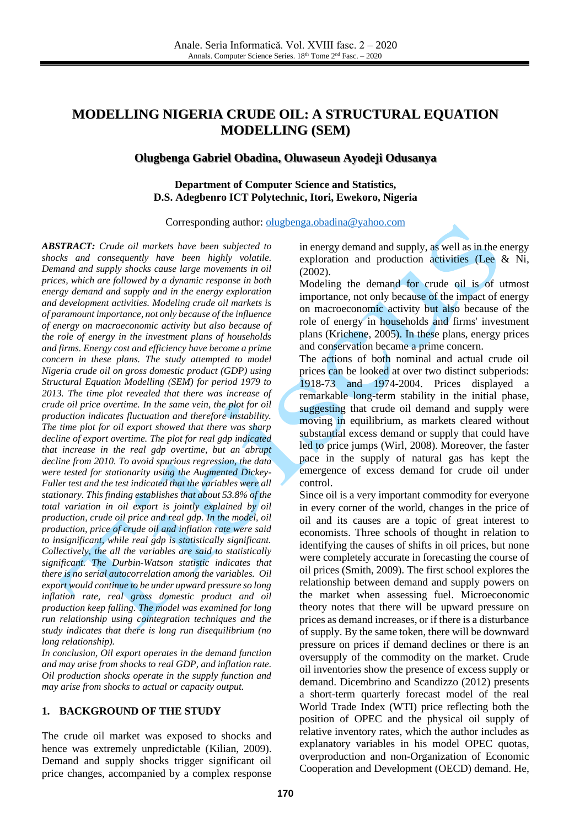# **MODELLING NIGERIA CRUDE OIL: A STRUCTURAL EQUATION MODELLING (SEM)**

# **Olugbenga Gabriel Obadina, Oluwaseun Ayodeji Odusanya**

#### **[Department](mailto:oloriebiodus@gmail.com) of Computer Science and Statistics, D.S. Adegbenro ICT Polytechnic, Itori, Ewekoro, Nigeria**

Corresponding author: [olugbenga.obadina@yahoo.com](mailto:olugbenga.obadina@yahoo.com)

*ABSTRACT: Crude oil markets have been subjected to shocks and consequently have been highly volatile. Demand and supply shocks cause large movements in oil prices, which are followed by a dynamic response in both energy demand and supply and in the energy exploration and development activities. Modeling crude oil markets is of paramount importance, not only because of the influence of energy on macroeconomic activity but also because of the role of energy in the investment plans of households and firms. Energy cost and efficiency have become a prime concern in these plans. The study attempted to model Nigeria crude oil on gross domestic product (GDP) using Structural Equation Modelling (SEM) for period 1979 to 2013. The time plot revealed that there was increase of crude oil price overtime. In the same vein, the plot for oil production indicates fluctuation and therefore instability. The time plot for oil export showed that there was sharp decline of export overtime. The plot for real gdp indicated that increase in the real gdp overtime, but an abrupt decline from 2010. To avoid spurious regression, the data were tested for stationarity using the Augmented Dickey-Fuller test and the test indicated that the variables were all stationary. This finding establishes that about 53.8% of the total variation in oil export is jointly explained by oil production, crude oil price and real gdp. In the model, oil production, price of crude oil and inflation rate were said to insignificant, while real gdp is statistically significant. Collectively, the all the variables are said to statistically significant. The Durbin-Watson statistic indicates that there is no serial autocorrelation among the variables. Oil export would continue to be under upward pressure so long inflation rate, real gross domestic product and oil production keep falling. The model was examined for long run relationship using cointegration techniques and the study indicates that there is long run disequilibrium (no long relationship).*

*In conclusion, Oil export operates in the demand function and may arise from shocks to real GDP, and inflation rate. Oil production shocks operate in the supply function and may arise from shocks to actual or capacity output.*

#### **1. BACKGROUND OF THE STUDY**

The crude oil market was exposed to shocks and hence was extremely unpredictable (Kilian, 2009). Demand and supply shocks trigger significant oil price changes, accompanied by a complex response in energy demand and supply, as well as in the energy exploration and production activities (Lee & Ni, (2002).

Modeling the demand for crude oil is of utmost importance, not only because of the impact of energy on macroeconomic activity but also because of the role of energy in households and firms' investment plans (Krichene, 2005). In these plans, energy prices and conservation became a prime concern.

The actions of both nominal and actual crude oil prices can be looked at over two distinct subperiods: 1918-73 and 1974-2004. Prices displayed a remarkable long-term stability in the initial phase, suggesting that crude oil demand and supply were moving in equilibrium, as markets cleared without substantial excess demand or supply that could have led to price jumps (Wirl, 2008). Moreover, the faster pace in the supply of natural gas has kept the emergence of excess demand for crude oil under control.

Since oil is a very important commodity for everyone in every corner of the world, changes in the price of oil and its causes are a topic of great interest to economists. Three schools of thought in relation to identifying the causes of shifts in oil prices, but none were completely accurate in forecasting the course of oil prices (Smith, 2009). The first school explores the relationship between demand and supply powers on the market when assessing fuel. Microeconomic theory notes that there will be upward pressure on prices as demand increases, or if there is a disturbance of supply. By the same token, there will be downward pressure on prices if demand declines or there is an oversupply of the commodity on the market. Crude oil inventories show the presence of excess supply or demand. Dicembrino and Scandizzo (2012) presents a short-term quarterly forecast model of the real World Trade Index (WTI) price reflecting both the position of OPEC and the physical oil supply of relative inventory rates, which the author includes as explanatory variables in his model OPEC quotas, overproduction and non-Organization of Economic Cooperation and Development (OECD) demand. He,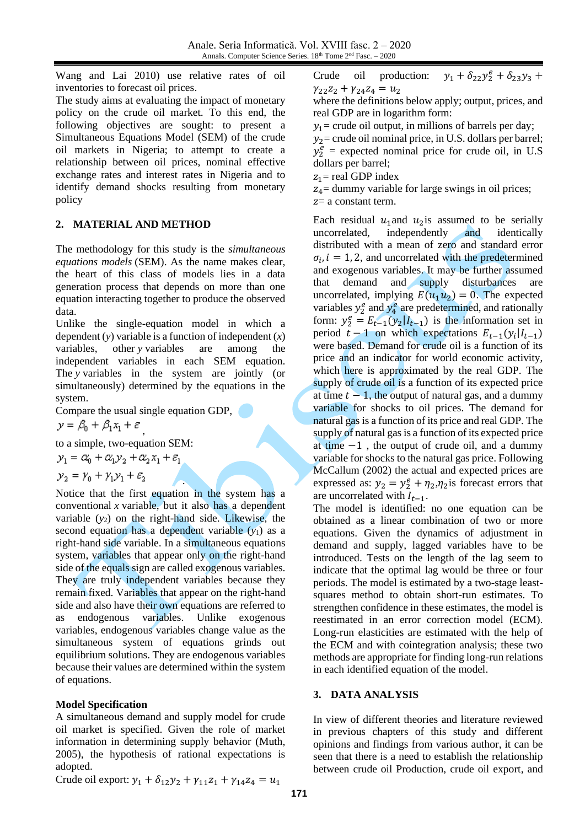Wang and Lai 2010) use relative rates of oil inventories to forecast oil prices.

The study aims at evaluating the impact of monetary policy on the crude oil market. To this end, the following objectives are sought: to present a Simultaneous Equations Model (SEM) of the crude oil markets in Nigeria; to attempt to create a relationship between oil prices, nominal effective exchange rates and interest rates in Nigeria and to identify demand shocks resulting from monetary policy

# **2. MATERIAL AND METHOD**

The methodology for this study is the *simultaneous equations models* (SEM). As the name makes clear, the heart of this class of models lies in a data generation process that depends on more than one equation interacting together to produce the observed data.

Unlike the single-equation model in which a dependent (*y*) variable is a function of independent (*x*) variables, other *y* variables are among the independent variables in each SEM equation. The *y* variables in the system are jointly (or simultaneously) determined by the equations in the system.

Compare the usual single equation GDP,

,

$$
y = \beta_0 + \beta_1 x_1 + \varepsilon
$$

to a simple, two-equation SEM:

 $y_1 = \alpha_0 + \alpha_1 y_2 + \alpha_2 x_1 + \varepsilon_1$ 

$$
y_2 = \gamma_0 + \gamma_1 y_1 + \varepsilon_2
$$

. Notice that the first equation in the system has a conventional *x* variable, but it also has a dependent variable (*y*2) on the right-hand side. Likewise, the second equation has a dependent variable  $(y_1)$  as a right-hand side variable. In a simultaneous equations system, variables that appear only on the right-hand side of the equals sign are called exogenous variables. They are truly independent variables because they remain fixed. Variables that appear on the right-hand side and also have their own equations are referred to as endogenous variables. Unlike exogenous variables, endogenous variables change value as the simultaneous system of equations grinds out equilibrium solutions. They are endogenous variables because their values are determined within the system of equations.

### **Model Specification**

A simultaneous demand and supply model for crude oil market is specified. Given the role of market information in determining supply behavior (Muth, 2005), the hypothesis of rational expectations is adopted.

Crude oil production:  $y_1 + \delta_{22}y_2^e + \delta_{23}y_3 +$  $\gamma_{22}z_2 + \gamma_{24}z_4 = u_2$ 

where the definitions below apply; output, prices, and real GDP are in logarithm form:

 $y_1$  = crude oil output, in millions of barrels per day;

 $y_2$ = crude oil nominal price, in U.S. dollars per barrel;  $y_2^e$  = expected nominal price for crude oil, in U.S dollars per barrel;

 $z_1$  = real GDP index

 $z_4$ = dummy variable for large swings in oil prices;  $z=$  a constant term.

Each residual  $u_1$  and  $u_2$  is assumed to be serially uncorrelated, independently and identically independently and identically distributed with a mean of zero and standard error  $\sigma_i$ ,  $i = 1, 2$ , and uncorrelated with the predetermined and exogenous variables. It may be further assumed that demand and supply disturbances are uncorrelated, implying  $E(u_1u_2) = 0$ . The expected variables  $y_2^e$  and  $y_4^e$  are predetermined, and rationally form:  $y_2^e = E_{t-1}(y_2 | I_{t-1})$  is the information set in period  $t-1$  on which expectations  $E_{t-1}(y_i|I_{t-1})$ were based. Demand for crude oil is a function of its price and an indicator for world economic activity, which here is approximated by the real GDP. The supply of crude oil is a function of its expected price at time  $t - 1$ , the output of natural gas, and a dummy variable for shocks to oil prices. The demand for natural gas is a function of its price and real GDP. The supply of natural gas is a function of its expected price at time  $-1$ , the output of crude oil, and a dummy variable for shocks to the natural gas price. Following McCallum (2002) the actual and expected prices are expressed as:  $y_2 = y_2^e + \eta_2, \eta_2$  is forecast errors that are uncorrelated with  $I_{t-1}$ .

The model is identified: no one equation can be obtained as a linear combination of two or more equations. Given the dynamics of adjustment in demand and supply, lagged variables have to be introduced. Tests on the length of the lag seem to indicate that the optimal lag would be three or four periods. The model is estimated by a two-stage leastsquares method to obtain short-run estimates. To strengthen confidence in these estimates, the model is reestimated in an error correction model (ECM). Long-run elasticities are estimated with the help of the ECM and with cointegration analysis; these two methods are appropriate for finding long-run relations in each identified equation of the model.

### **3. DATA ANALYSIS**

In view of different theories and literature reviewed in previous chapters of this study and different opinions and findings from various author, it can be seen that there is a need to establish the relationship between crude oil Production, crude oil export, and

Crude oil export:  $y_1 + \delta_{12}y_2 + \gamma_{11}z_1 + \gamma_{14}z_4 = u_1$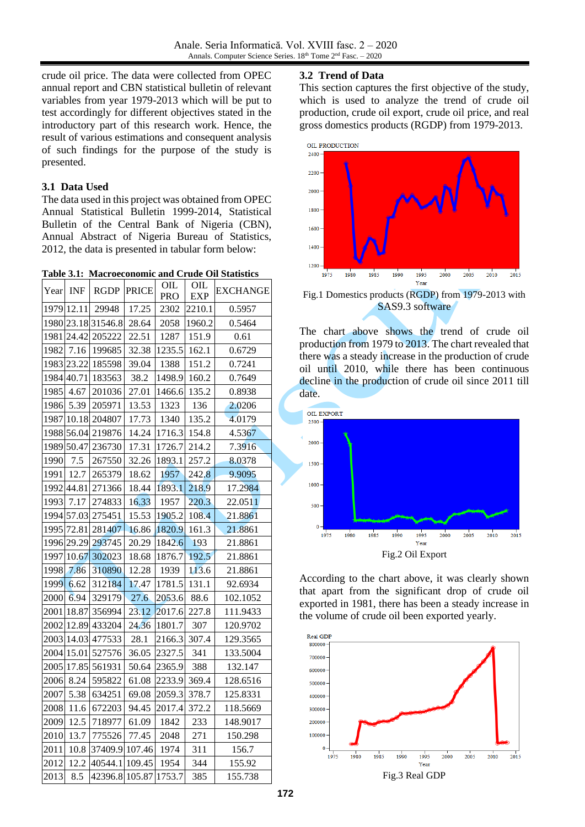crude oil price. The data were collected from OPEC annual report and CBN statistical bulletin of relevant variables from year 1979-2013 which will be put to test accordingly for different objectives stated in the introductory part of this research work. Hence, the result of various estimations and consequent analysis of such findings for the purpose of the study is presented.

### **3.1 Data Used**

The data used in this project was obtained from OPEC Annual Statistical Bulletin 1999-2014, Statistical Bulletin of the Central Bank of Nigeria (CBN), Annual Abstract of Nigeria Bureau of Statistics, 2012, the data is presented in tabular form below:

**Table 3.1: Macroeconomic and Crude Oil Statistics** 

| Year | <b>INF</b> | <b>RGDP</b>        | <b>PRICE</b> | OIL<br><b>PRO</b> | OIL<br>EXP | <b>EXCHANGE</b> |
|------|------------|--------------------|--------------|-------------------|------------|-----------------|
|      | 1979 12.11 | 29948              | 17.25        | 2302              | 2210.1     | 0.5957          |
|      |            | 1980 23.18 31546.8 | 28.64        | 2058              | 1960.2     | 0.5464          |
| 1981 | 24.42      | 205222             | 22.51        | 1287              | 151.9      | 0.61            |
| 1982 | 7.16       | 199685             | 32.38        | 1235.5            | 162.1      | 0.6729          |
| 1983 | 23.22      | 185598             | 39.04        | 1388              | 151.2      | 0.7241          |
| 1984 | 40.71      | 183563             | 38.2         | 1498.9            | 160.2      | 0.7649          |
| 1985 | 4.67       | 201036             | 27.01        | 1466.6            | 135.2      | 0.8938          |
| 1986 | 5.39       | 205971             | 13.53        | 1323              | 136        | 2.0206          |
| 1987 | 10.18      | 204807             | 17.73        | 1340              | 135.2      | 4.0179          |
|      | 1988 56.04 | 219876             | 14.24        | 1716.3            | 154.8      | 4.5367          |
|      | 1989 50.47 | 236730             | 17.31        | 1726.7            | 214.2      | 7.3916          |
| 1990 | 7.5        | 267550             | 32.26        | 1893.1            | 257.2      | 8.0378          |
| 1991 | 12.7       | 265379             | 18.62        | 1957              | 242.8      | 9.9095          |
|      | 1992 44.81 | 271366             | 18.44        | 1893.1            | 218.9      | 17.2984         |
| 1993 | 7.17       | 274833             | 16.33        | 1957              | 220.3      | 22.0511         |
|      | 1994 57.03 | 275451             | 15.53        | 1905.2            | 108.4      | 21.8861         |
| 1995 | 72.81      | 281407             | 16.86        | 1820.9            | 161.3      | 21.8861         |
| 1996 | 29.29      | 293745             | 20.29        | 1842.6            | 193        | 21.8861         |
| 1997 | 10.67      | 302023             | 18.68        | 1876.7            | 192.5      | 21.8861         |
| 1998 | 7.86       | 310890             | 12.28        | 1939              | 113.6      | 21.8861         |
| 1999 | 6.62       | 312184             | 17.47        | 1781.5            | 131.1      | 92.6934         |
| 2000 | 6.94       | 329179             | 27.6         | 2053.6            | 88.6       | 102.1052        |
| 2001 | 18.87      | 356994             | 23.12        | 2017.6            | 227.8      | 111.9433        |
| 2002 | 12.89      | 433204             | 24.36        | 1801.7            | 307        | 120.9702        |
| 2003 | 14.03      | 477533             | 28.1         | 2166.3            | 307.4      | 129.3565        |
| 2004 | 15.01      | 527576             | 36.05        | 2327.5            | 341        | 133.5004        |
| 2005 | 17.85      | 561931             | 50.64        | 2365.9            | 388        | 132.147         |
| 2006 | 8.24       | 595822             | 61.08        | 2233.9            | 369.4      | 128.6516        |
| 2007 | 5.38       | 634251             | 69.08        | 2059.3            | 378.7      | 125.8331        |
| 2008 | 11.6       | 672203             | 94.45        | 2017.4            | 372.2      | 118.5669        |
| 2009 | 12.5       | 718977             | 61.09        | 1842              | 233        | 148.9017        |
| 2010 | 13.7       | 775526             | 77.45        | 2048              | 271        | 150.298         |
| 2011 | 10.8       | 37409.9            | 107.46       | 1974              | 311        | 156.7           |
| 2012 | 12.2       | 40544.1            | 109.45       | 1954              | 344        | 155.92          |
| 2013 | 8.5        | 42396.8 105.87     |              | 1753.7            | 385        | 155.738         |

#### **3.2 Trend of Data**

This section captures the first objective of the study, which is used to analyze the trend of crude oil production, crude oil export, crude oil price, and real gross domestics products (RGDP) from 1979-2013.



Fig.1 Domestics products (RGDP) from 1979-2013 with SAS9.3 software

The chart above shows the trend of crude oil production from 1979 to 2013. The chart revealed that there was a steady increase in the production of crude oil until 2010, while there has been continuous decline in the production of crude oil since 2011 till date.



According to the chart above, it was clearly shown that apart from the significant drop of crude oil exported in 1981, there has been a steady increase in the volume of crude oil been exported yearly.

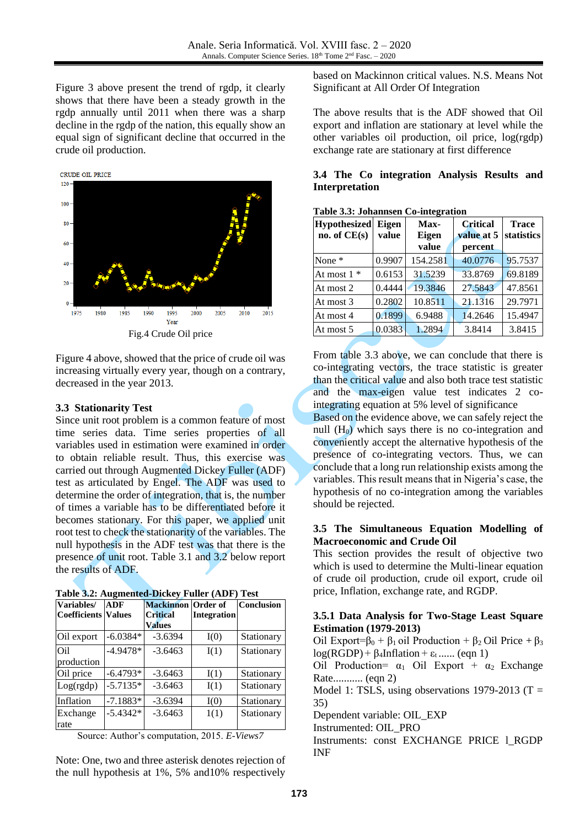Figure 3 above present the trend of rgdp, it clearly shows that there have been a steady growth in the rgdp annually until 2011 when there was a sharp decline in the rgdp of the nation, this equally show an equal sign of significant decline that occurred in the crude oil production.



Figure 4 above, showed that the price of crude oil was increasing virtually every year, though on a contrary, decreased in the year 2013.

#### **3.3 Stationarity Test**

Since unit root problem is a common feature of most time series data. Time series properties of all variables used in estimation were examined in order to obtain reliable result. Thus, this exercise was carried out through Augmented Dickey Fuller (ADF) test as articulated by Engel. The ADF was used to determine the order of integration, that is, the number of times a variable has to be differentiated before it becomes stationary. For this paper, we applied unit root test to check the stationarity of the variables. The null hypothesis in the ADF test was that there is the presence of unit root. Table 3.1 and 3.2 below report the results of ADF.

|  | Table 3.2: Augmented-Dickey Fuller (ADF) Test |  |  |  |
|--|-----------------------------------------------|--|--|--|
|  |                                               |  |  |  |

| Variables/<br><b>Coefficients Values</b> | <b>ADF</b> | <b>Mackinnon</b><br><b>Critical</b> | Order of<br><b>Integration</b> | <b>Conclusion</b> |
|------------------------------------------|------------|-------------------------------------|--------------------------------|-------------------|
|                                          |            | <b>Values</b>                       |                                |                   |
| Oil export                               | $-6.0384*$ | $-3.6394$                           | I(0)                           | Stationary        |
| Oil                                      | $-4.9478*$ | $-3.6463$                           | I(1)                           | Stationary        |
| production                               |            |                                     |                                |                   |
| Oil price                                | $-6.4793*$ | $-3.6463$                           | I(1)                           | Stationary        |
| Log(rgdp)                                | $-5.7135*$ | $-3.6463$                           | I(1)                           | Stationary        |
| Inflation                                | $-7.1883*$ | $-3.6394$                           | I(0)                           | Stationary        |
| Exchange                                 | $-5.4342*$ | $-3.6463$                           | 1(1)                           | Stationary        |
| rate                                     |            |                                     |                                |                   |

Source: Author's computation, 2015. *E-Views7*

Note: One, two and three asterisk denotes rejection of the null hypothesis at 1%, 5% and10% respectively

based on Mackinnon critical values. N.S. Means Not Significant at All Order Of Integration

The above results that is the ADF showed that Oil export and inflation are stationary at level while the other variables oil production, oil price, log(rgdp) exchange rate are stationary at first difference

### **3.4 The Co integration Analysis Results and Interpretation**

| <b>Hypothesized</b><br>no. of CE(s) | Eigen<br>value | Max-<br><b>Eigen</b><br>value | <b>Critical</b><br>value at 5<br>percent | <b>Trace</b><br><b>statistics</b> |
|-------------------------------------|----------------|-------------------------------|------------------------------------------|-----------------------------------|
| None <sup>*</sup>                   | 0.9907         | 154.2581                      | 40.0776                                  | 95.7537                           |
| At most $1 *$                       | 0.6153         | 31.5239                       | 33.8769                                  | 69.8189                           |
| At most 2                           | 0.4444         | 19.3846                       | 27.5843                                  | 47.8561                           |
| At most 3                           | 0.2802         | 10.8511                       | 21.1316                                  | 29.7971                           |
| At most 4                           | 0.1899         | 6.9488                        | 14.2646                                  | 15.4947                           |
| At most 5                           | 0.0383         | 1.2894                        | 3.8414                                   | 3.8415                            |

**Table 3.3: Johannsen Co-integration**

From table 3.3 above, we can conclude that there is co-integrating vectors, the trace statistic is greater than the critical value and also both trace test statistic and the max-eigen value test indicates 2 cointegrating equation at 5% level of significance

Based on the evidence above, we can safely reject the null  $(H<sub>0</sub>)$  which says there is no co-integration and conveniently accept the alternative hypothesis of the presence of co-integrating vectors. Thus, we can conclude that a long run relationship exists among the variables. This result means that in Nigeria's case, the hypothesis of no co-integration among the variables should be rejected.

### **3.5 The Simultaneous Equation Modelling of Macroeconomic and Crude Oil**

This section provides the result of objective two which is used to determine the Multi-linear equation of crude oil production, crude oil export, crude oil price, Inflation, exchange rate, and RGDP.

#### **3.5.1 Data Analysis for Two-Stage Least Square Estimation (1979-2013)**

Oil Export= $β_0 + β_1$  oil Production +  $β_2$  Oil Price +  $β_3$  $log(RGDP) + \beta_4Inflation + \varepsilon_t$ ...... (eqn 1)

Oil Production=  $\alpha_1$  Oil Export +  $\alpha_2$  Exchange Rate........... (eqn 2)

Model 1: TSLS, using observations 1979-2013 (T = 35)

Dependent variable: OIL\_EXP

Instrumented: OIL\_PRO

Instruments: const EXCHANGE PRICE l\_RGDP INF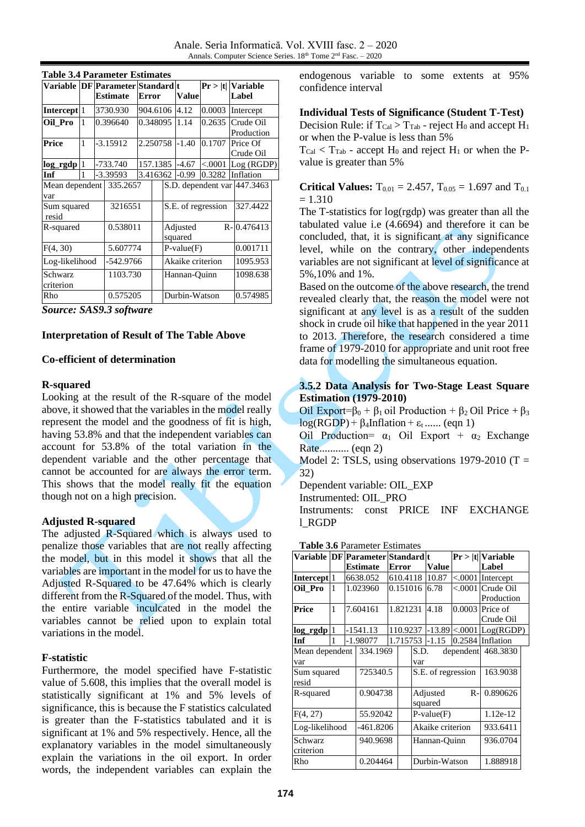| Variable  DF Parameter Standard t |   |          |                 |              |          |                  |                             | Pr >  t    | <b>Variable</b> |  |
|-----------------------------------|---|----------|-----------------|--------------|----------|------------------|-----------------------------|------------|-----------------|--|
|                                   |   |          | <b>Estimate</b> | <b>Error</b> |          |                  | Value                       |            | Label           |  |
| Intercept <sup>1</sup>            |   | 3730.930 |                 | 904.6106     |          | 4.12             | 0.0003                      | Intercept  |                 |  |
| Oil Pro                           | 1 |          | 0.396640        |              | 0.348095 |                  | 1.14                        | 0.2635     | Crude Oil       |  |
|                                   |   |          |                 |              |          |                  |                             | Production |                 |  |
| Price                             | 1 |          | $-3.15912$      | 2.250758     |          |                  | $-1.40$                     | 0.1707     | Price Of        |  |
|                                   |   |          |                 |              |          |                  |                             |            | Crude Oil       |  |
| log_rgdp                          | 1 |          | -733.740        |              | 157.1385 |                  | $-4.67$                     | < .0001    | Log (RGDP)      |  |
| Inf                               | 1 |          | -3.39593        | 3.416362     |          |                  | $-0.99$                     | 0.3282     | Inflation       |  |
| Mean dependent                    |   |          | 335.2657        |              |          |                  | S.D. dependent var 447.3463 |            |                 |  |
| var                               |   |          |                 |              |          |                  |                             |            |                 |  |
| Sum squared<br>resid              |   |          | 3216551         |              |          |                  | S.E. of regression          | 327.4422   |                 |  |
| R-squared                         |   |          | 0.538011        |              |          |                  | Adjusted<br>squared         |            | R-0.476413      |  |
| F(4, 30)                          |   |          | 5.607774        |              |          | $P-value(F)$     |                             | 0.001711   |                 |  |
| Log-likelihood                    |   |          | -542.9766       |              |          | Akaike criterion |                             | 1095.953   |                 |  |
| Schwarz                           |   |          | 1103.730        |              |          | Hannan-Quinn     |                             | 1098.638   |                 |  |
| criterion                         |   |          |                 |              |          |                  |                             |            |                 |  |
| Rho                               |   |          | 0.575205        |              |          | Durbin-Watson    |                             | 0.574985   |                 |  |

# **Table 3.4 Parameter Estimates**

*Source: SAS9.3 software*

### **Interpretation of Result of The Table Above**

### **Co-efficient of determination**

### **R-squared**

Looking at the result of the R-square of the model above, it showed that the variables in the model really represent the model and the goodness of fit is high, having 53.8% and that the independent variables can account for 53.8% of the total variation in the dependent variable and the other percentage that cannot be accounted for are always the error term. This shows that the model really fit the equation though not on a high precision.

### **Adjusted R-squared**

The adjusted R-Squared which is always used to penalize those variables that are not really affecting the model, but in this model it shows that all the variables are important in the model for us to have the Adjusted R-Squared to be 47.64% which is clearly different from the R-Squared of the model. Thus, with the entire variable inculcated in the model the variables cannot be relied upon to explain total variations in the model.

### **F-statistic**

Furthermore, the model specified have F-statistic value of 5.608, this implies that the overall model is statistically significant at 1% and 5% levels of significance, this is because the F statistics calculated is greater than the F-statistics tabulated and it is significant at 1% and 5% respectively. Hence, all the explanatory variables in the model simultaneously explain the variations in the oil export. In order words, the independent variables can explain the

endogenous variable to some extents at 95% confidence interval

#### **Individual Tests of Significance (Student T-Test)**

Decision Rule: if  $T_{Cal} > T_{Tab}$  - reject  $H_0$  and accept  $H_1$ or when the P-value is less than 5%

 $T_{Cal} < T_{Tab}$  - accept  $H_0$  and reject  $H_1$  or when the Pvalue is greater than 5%

**Critical Values:**  $T_{0.01} = 2.457$ ,  $T_{0.05} = 1.697$  and  $T_{0.1}$  $= 1.310$ 

The T-statistics for log(rgdp) was greater than all the tabulated value i.e (4.6694) and therefore it can be concluded, that, it is significant at any significance level, while on the contrary, other independents variables are not significant at level of significance at 5%,10% and 1%.

Based on the outcome of the above research, the trend revealed clearly that, the reason the model were not significant at any level is as a result of the sudden shock in crude oil hike that happened in the year 2011 to 2013. Therefore, the research considered a time frame of 1979-2010 for appropriate and unit root free data for modelling the simultaneous equation.

# **3.5.2 Data Analysis for Two-Stage Least Square Estimation (1979-2010)**

Oil Export= $\beta_0 + \beta_1$  oil Production +  $\beta_2$  Oil Price +  $\beta_3$  $log(RGDP) + \beta_4Inflation + \varepsilon_t$ ...... (eqn 1)

Oil Production=  $\alpha_1$  Oil Export +  $\alpha_2$  Exchange Rate........... (eqn 2)

Model 2: TSLS, using observations  $1979-2010$  (T = 32)

Dependent variable: OIL\_EXP

Instrumented: OIL\_PRO

Instruments: const PRICE INF EXCHANGE l\_RGDP

| <b>Table 3.6 Parameter Estimates</b> |              |                 |            |                                   |          |              |                     |                      |           |  |
|--------------------------------------|--------------|-----------------|------------|-----------------------------------|----------|--------------|---------------------|----------------------|-----------|--|
|                                      |              |                 |            | Variable  DF Parameter Standard t |          |              |                     | $Pr >  t $ Variable  |           |  |
|                                      |              | <b>Estimate</b> |            | <b>Error</b>                      |          | <b>Value</b> |                     | Label                |           |  |
| Intercept 1                          |              |                 | 6638.052   | 610.4118                          |          | 10.87        | < 0.0001            | Intercept            |           |  |
| Oil Pro                              | $\mathbf{1}$ |                 | 1.023960   | 0.151016                          |          | 6.78         | < 0.001             | Crude Oil            |           |  |
|                                      |              |                 |            |                                   |          |              |                     | Production           |           |  |
| Price                                | 1            |                 | 7.604161   |                                   | 1.821231 |              | 4.18                | 0.0003<br>Price of   |           |  |
|                                      |              |                 |            |                                   |          |              |                     |                      | Crude Oil |  |
| log_rgdp                             | $\mathbf{1}$ |                 | $-1541.13$ |                                   |          | 110.9237     |                     | $-13.89 \times 0001$ | Log(RGDP) |  |
| Inf                                  | 1            |                 | -1.98077   |                                   | 1.715753 |              | $-1.15$             | 0.2584               | Inflation |  |
| Mean dependent                       |              |                 | 334.1969   |                                   |          | S.D.         | dependent           |                      | 468.3830  |  |
| var                                  |              |                 |            | var                               |          |              |                     |                      |           |  |
| Sum squared<br>resid                 |              |                 | 725340.5   |                                   |          |              | S.E. of regression  |                      | 163.9038  |  |
| R-squared                            |              |                 | 0.904738   |                                   |          |              | Adjusted<br>squared | $R -$                | 0.890626  |  |
| F(4, 27)                             |              |                 | 55.92042   |                                   |          | $P-value(F)$ |                     |                      | 1.12e-12  |  |
| Log-likelihood                       |              |                 | -461.8206  |                                   |          |              | Akaike criterion    |                      | 933.6411  |  |
| Schwarz<br>criterion                 |              |                 | 940.9698   |                                   |          | Hannan-Ouinn |                     | 936.0704             |           |  |
| Rho                                  |              |                 | 0.204464   |                                   |          |              | Durbin-Watson       |                      | 1.888918  |  |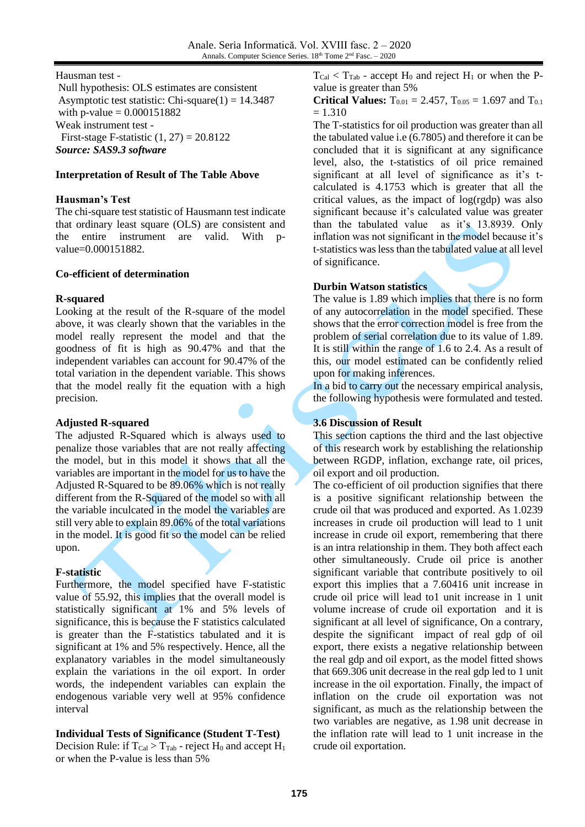Hausman test -

Null hypothesis: OLS estimates are consistent Asymptotic test statistic: Chi-square $(1) = 14.3487$ with p-value =  $0.000151882$ Weak instrument test - First-stage F-statistic  $(1, 27) = 20.8122$ *Source: SAS9.3 software*

# **Interpretation of Result of The Table Above**

# **Hausman's Test**

The chi-square test statistic of Hausmann test indicate that ordinary least square (OLS) are consistent and the entire instrument are valid. With pvalue=0.000151882.

### **Co-efficient of determination**

### **R-squared**

Looking at the result of the R-square of the model above, it was clearly shown that the variables in the model really represent the model and that the goodness of fit is high as 90.47% and that the independent variables can account for 90.47% of the total variation in the dependent variable. This shows that the model really fit the equation with a high precision.

### **Adjusted R-squared**

The adjusted R-Squared which is always used to penalize those variables that are not really affecting the model, but in this model it shows that all the variables are important in the model for us to have the Adjusted R-Squared to be 89.06% which is not really different from the R-Squared of the model so with all the variable inculcated in the model the variables are still very able to explain 89.06% of the total variations in the model. It is good fit so the model can be relied upon.

### **F-statistic**

Furthermore, the model specified have F-statistic value of 55.92, this implies that the overall model is statistically significant at 1% and 5% levels of significance, this is because the F statistics calculated is greater than the F-statistics tabulated and it is significant at 1% and 5% respectively. Hence, all the explanatory variables in the model simultaneously explain the variations in the oil export. In order words, the independent variables can explain the endogenous variable very well at 95% confidence interval

# **Individual Tests of Significance (Student T-Test)**

Decision Rule: if  $T_{Cal} > T_{Tab}$  - reject  $H_0$  and accept  $H_1$ or when the P-value is less than 5%

 $T_{Cal} < T_{Tab}$  - accept  $H_0$  and reject  $H_1$  or when the Pvalue is greater than 5%

**Critical Values:**  $T_{0.01} = 2.457$ ,  $T_{0.05} = 1.697$  and  $T_{0.1}$  $= 1.310$ 

The T-statistics for oil production was greater than all the tabulated value i.e (6.7805) and therefore it can be concluded that it is significant at any significance level, also, the t-statistics of oil price remained significant at all level of significance as it's tcalculated is 4.1753 which is greater that all the critical values, as the impact of log(rgdp) was also significant because it's calculated value was greater than the tabulated value as it's 13.8939. Only inflation was not significant in the model because it's t-statistics was less than the tabulated value at all level of significance.

# **Durbin Watson statistics**

The value is 1.89 which implies that there is no form of any autocorrelation in the model specified. These shows that the error correction model is free from the problem of serial correlation due to its value of 1.89. It is still within the range of 1.6 to 2.4. As a result of this, our model estimated can be confidently relied upon for making inferences.

In a bid to carry out the necessary empirical analysis, the following hypothesis were formulated and tested.

### **3.6 Discussion of Result**

This section captions the third and the last objective of this research work by establishing the relationship between RGDP, inflation, exchange rate, oil prices, oil export and oil production.

The co-efficient of oil production signifies that there is a positive significant relationship between the crude oil that was produced and exported. As 1.0239 increases in crude oil production will lead to 1 unit increase in crude oil export, remembering that there is an intra relationship in them. They both affect each other simultaneously. Crude oil price is another significant variable that contribute positively to oil export this implies that a 7.60416 unit increase in crude oil price will lead to1 unit increase in 1 unit volume increase of crude oil exportation and it is significant at all level of significance, On a contrary, despite the significant impact of real gdp of oil export, there exists a negative relationship between the real gdp and oil export, as the model fitted shows that 669.306 unit decrease in the real gdp led to 1 unit increase in the oil exportation. Finally, the impact of inflation on the crude oil exportation was not significant, as much as the relationship between the two variables are negative, as 1.98 unit decrease in the inflation rate will lead to 1 unit increase in the crude oil exportation.